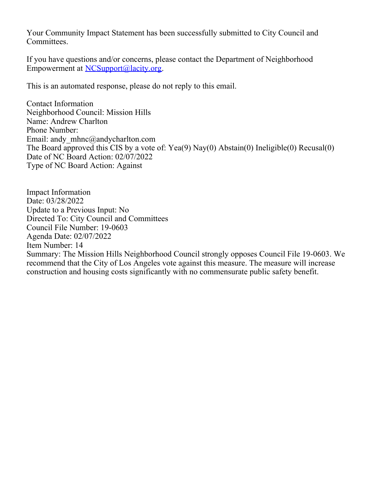Your Community Impact Statement has been successfully submitted to City Council and Committees.

If you have questions and/or concerns, please contact the Department of Neighborhood Empowerment at [NCSupport@lacity.org](mailto:NCSupport@lacity.org).

This is an automated response, please do not reply to this email.

Contact Information Neighborhood Council: Mission Hills Name: Andrew Charlton Phone Number: Email: andy mhnc@andycharlton.com The Board approved this CIS by a vote of: Yea(9) Nay(0) Abstain(0) Ineligible(0) Recusal(0) Date of NC Board Action: 02/07/2022 Type of NC Board Action: Against

Impact Information Date: 03/28/2022 Update to a Previous Input: No Directed To: City Council and Committees Council File Number: 19-0603 Agenda Date: 02/07/2022 Item Number: 14 Summary: The Mission Hills Neighborhood Council strongly opposes Council File 19-0603. We recommend that the City of Los Angeles vote against this measure. The measure will increase construction and housing costs significantly with no commensurate public safety benefit.